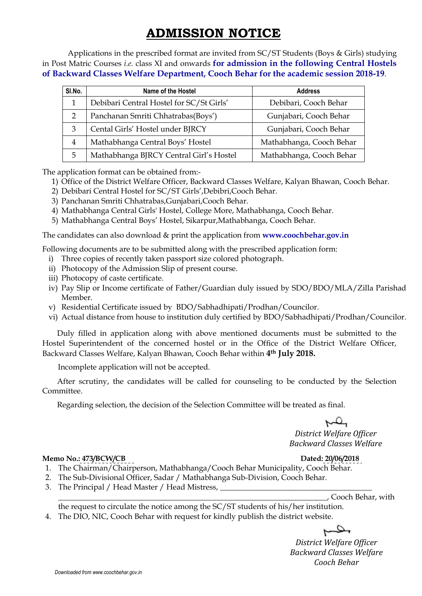# **ADMISSION NOTICE**

Applications in the prescribed format are invited from SC/ST Students (Boys & Girls) studying in Post Matric Courses *i.e.* class XI and onwards **for admission in the following Central Hostels of Backward Classes Welfare Department, Cooch Behar for the academic session 2018-19**.

| SI.No.        | Name of the Hostel                       | <b>Address</b>           |  |
|---------------|------------------------------------------|--------------------------|--|
|               | Debibari Central Hostel for SC/St Girls' | Debibari, Cooch Behar    |  |
| $\mathcal{P}$ | Panchanan Smriti Chhatrabas(Boys')       | Gunjabari, Cooch Behar   |  |
| 3             | Cental Girls' Hostel under BJRCY         | Gunjabari, Cooch Behar   |  |
| 4             | Mathabhanga Central Boys' Hostel         | Mathabhanga, Cooch Behar |  |
| 5             | Mathabhanga BJRCY Central Girl's Hostel  | Mathabhanga, Cooch Behar |  |

The application format can be obtained from:-

- 1) Office of the District Welfare Officer, Backward Classes Welfare, Kalyan Bhawan, Cooch Behar.
- 2) Debibari Central Hostel for SC/ST Girls',Debibri,Cooch Behar.
- 3) Panchanan Smriti Chhatrabas,Gunjabari,Cooch Behar.
- 4) Mathabhanga Central Girls' Hostel, College More, Mathabhanga, Cooch Behar.
- 5) Mathabhanga Central Boys' Hostel, Sikarpur,Mathabhanga, Cooch Behar.

The candidates can also download & print the application from **www.coochbehar.gov.in**

Following documents are to be submitted along with the prescribed application form:

- i) Three copies of recently taken passport size colored photograph.
- ii) Photocopy of the Admission Slip of present course.
- iii) Photocopy of caste certificate.
- iv) Pay Slip or Income certificate of Father/Guardian duly issued by SDO/BDO/MLA/Zilla Parishad Member.
- v) Residential Certificate issued by BDO/Sabhadhipati/Prodhan/Councilor.
- vi) Actual distance from house to institution duly certified by BDO/Sabhadhipati/Prodhan/Councilor.

 Duly filled in application along with above mentioned documents must be submitted to the Hostel Superintendent of the concerned hostel or in the Office of the District Welfare Officer, Backward Classes Welfare, Kalyan Bhawan, Cooch Behar within **4th July 2018.**

Incomplete application will not be accepted.

 After scrutiny, the candidates will be called for counseling to be conducted by the Selection Committee.

Regarding selection, the decision of the Selection Committee will be treated as final.

 $\mathfrak{p}$ *District Welfare Officer Backward Classes Welfare* 

### **Memo No.: 473/BCW/CB**

### Dated: 20/06/2018

- 1. The Chairman/Chairperson, Mathabhanga/Cooch Behar Municipality, Cooch Behar.
- 2. The Sub-Divisional Officer, Sadar / Mathabhanga Sub-Division, Cooch Behar.
- 3. The Principal / Head Master / Head Mistress, \_\_\_\_\_\_\_\_\_\_\_\_\_\_\_\_\_\_\_\_\_\_\_\_\_\_\_\_\_\_\_\_

\_\_\_\_\_\_\_\_\_\_\_\_\_\_\_\_\_\_\_\_\_\_\_\_\_\_\_\_\_\_\_\_\_\_\_\_\_\_\_\_\_\_\_\_\_\_\_\_\_\_\_\_\_\_\_\_\_\_\_\_\_\_\_\_\_\_\_\_\_, Cooch Behar, with

the request to circulate the notice among the SC/ST students of his/her institution.

4. The DIO, NIC, Cooch Behar with request for kindly publish the district website.

 $\rightarrow$ *District Welfare Officer Backward Classes Welfare Cooch Behar*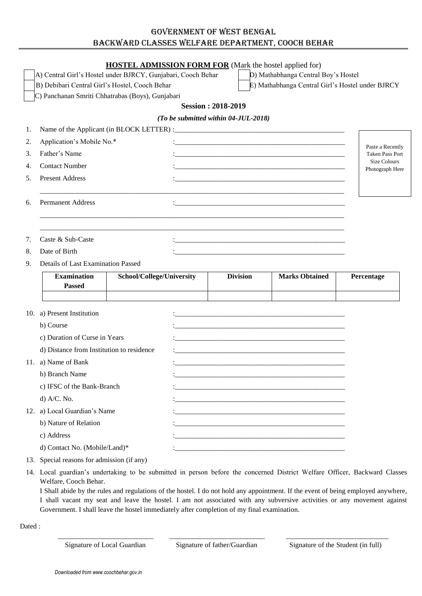## GOVERNMENT OF WEST BENGAL BACKWARD CLASSES WELFARE DEPARTMENT, COOCH BEHAR

|     |                                                              |                           |  | <b>HOSTEL ADMISSION FORM FOR</b> (Mark the hostel applied for)                                                      |                                                                                                                       |                                        |  |
|-----|--------------------------------------------------------------|---------------------------|--|---------------------------------------------------------------------------------------------------------------------|-----------------------------------------------------------------------------------------------------------------------|----------------------------------------|--|
|     | A) Central Girl's Hostel under BJRCY, Gunjabari, Cooch Behar |                           |  |                                                                                                                     | D) Mathabhanga Central Boy's Hostel                                                                                   |                                        |  |
|     | B) Debibari Central Girl's Hostel, Cooch Behar               |                           |  |                                                                                                                     | E) Mathabhanga Central Girl's Hostel under BJRCY                                                                      |                                        |  |
|     | C) Panchanan Smriti Chhatrabas (Boys), Gunjabari             |                           |  |                                                                                                                     |                                                                                                                       |                                        |  |
|     |                                                              |                           |  | <b>Session: 2018-2019</b>                                                                                           |                                                                                                                       |                                        |  |
|     |                                                              |                           |  | (To be submitted within 04-JUL-2018)                                                                                |                                                                                                                       |                                        |  |
| 1.  |                                                              |                           |  |                                                                                                                     |                                                                                                                       |                                        |  |
| 2.  | Application's Mobile No.*                                    |                           |  | <u> 1980 - Jan James James Barnett, fransk politik (d. 1980)</u>                                                    |                                                                                                                       | Paste a Recently                       |  |
| 3.  | Father's Name                                                |                           |  |                                                                                                                     |                                                                                                                       | <b>Taken Pass Port</b>                 |  |
| 4.  | <b>Contact Number</b>                                        |                           |  |                                                                                                                     |                                                                                                                       | <b>Size Colours</b><br>Photograph Here |  |
| 5.  | <b>Present Address</b>                                       |                           |  |                                                                                                                     |                                                                                                                       |                                        |  |
|     |                                                              |                           |  |                                                                                                                     |                                                                                                                       |                                        |  |
| 6.  | <b>Permanent Address</b>                                     |                           |  |                                                                                                                     | <u> 1989 - Johann Stoff, deutscher Stoff, der Stoff, der Stoff, der Stoff, der Stoff, der Stoff, der Stoff, der S</u> |                                        |  |
|     |                                                              |                           |  |                                                                                                                     |                                                                                                                       |                                        |  |
|     |                                                              |                           |  |                                                                                                                     |                                                                                                                       |                                        |  |
| 7.  | Caste & Sub-Caste                                            |                           |  |                                                                                                                     |                                                                                                                       |                                        |  |
| 8.  | Date of Birth                                                |                           |  |                                                                                                                     |                                                                                                                       |                                        |  |
| 9.  | Details of Last Examination Passed                           |                           |  |                                                                                                                     |                                                                                                                       |                                        |  |
|     | <b>Examination</b>                                           | School/College/University |  | <b>Division</b>                                                                                                     | <b>Marks Obtained</b>                                                                                                 | Percentage                             |  |
|     | <b>Passed</b>                                                |                           |  |                                                                                                                     |                                                                                                                       |                                        |  |
|     |                                                              |                           |  |                                                                                                                     |                                                                                                                       |                                        |  |
| 10. | a) Present Institution                                       |                           |  |                                                                                                                     | <u> 1980 - Jan James James Barnett, fransk politik (d. 1980)</u>                                                      |                                        |  |
|     | b) Course                                                    |                           |  |                                                                                                                     |                                                                                                                       |                                        |  |
|     | c) Duration of Curse in Years                                |                           |  |                                                                                                                     |                                                                                                                       |                                        |  |
|     | d) Distance from Institution to residence                    |                           |  |                                                                                                                     |                                                                                                                       |                                        |  |
|     | 11. a) Name of Bank                                          |                           |  |                                                                                                                     |                                                                                                                       |                                        |  |
|     | b) Branch Name                                               |                           |  |                                                                                                                     |                                                                                                                       |                                        |  |
|     | c) IFSC of the Bank-Branch                                   |                           |  | <u> 1980 - Johann Barbara, martxa alemaniar argumento este alemaniar alemaniar alemaniar alemaniar alemaniar al</u> |                                                                                                                       |                                        |  |
|     | $d)$ A/C. No.                                                |                           |  |                                                                                                                     |                                                                                                                       |                                        |  |
|     | 12. a) Local Guardian's Name                                 |                           |  |                                                                                                                     |                                                                                                                       |                                        |  |
|     | b) Nature of Relation                                        |                           |  |                                                                                                                     |                                                                                                                       |                                        |  |
|     | c) Address                                                   |                           |  |                                                                                                                     |                                                                                                                       |                                        |  |
|     | d) Contact No. (Mobile/Land)*                                |                           |  |                                                                                                                     |                                                                                                                       |                                        |  |
|     | 13. Special reasons for admission (if any)                   |                           |  |                                                                                                                     |                                                                                                                       |                                        |  |

14. Local guardian's undertaking to be submitted in person before the concerned District Welfare Officer, Backward Classes Welfare, Cooch Behar.

I Shall abide by the rules and regulations of the hostel. I do not hold any appointment. If the event of being employed anywhere, I shall vacant my seat and leave the hostel. I am not associated with any subversive activities or any movement against Government. I shall leave the hostel immediately after completion of my final examination.

Dated :

 $\bar{a}$  , and the contribution of the contribution of the contribution of the contribution of the contribution of the contribution of the contribution of the contribution of the contribution of the contribution of the con